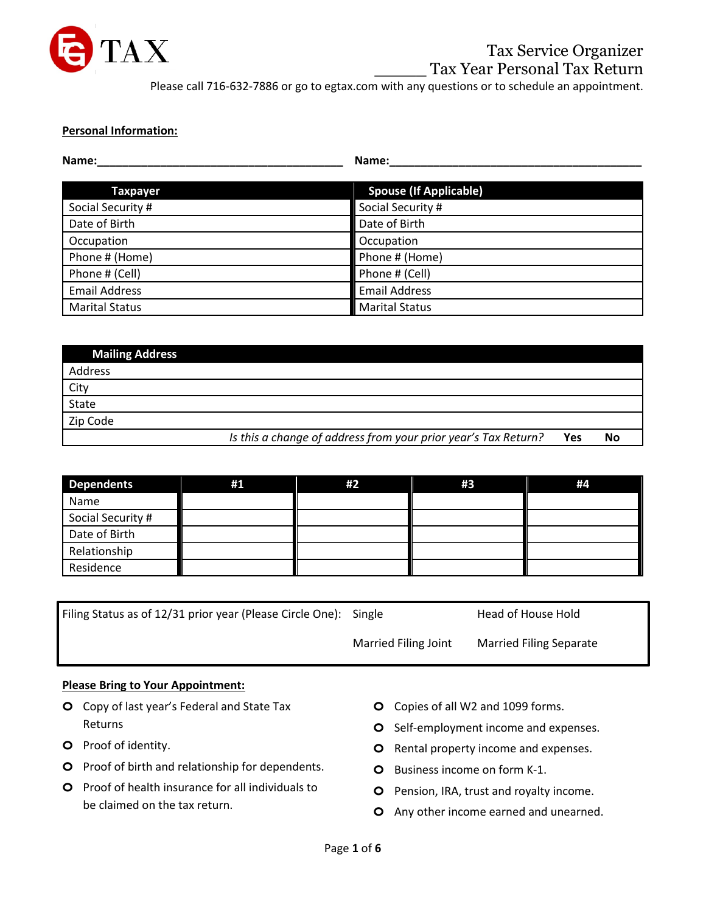

#### **Personal Information:**

| Name:<br>Name:        |                               |
|-----------------------|-------------------------------|
|                       |                               |
| <b>Taxpayer</b>       | <b>Spouse (If Applicable)</b> |
| Social Security #     | Social Security #             |
| Date of Birth         | Date of Birth                 |
| Occupation            | Occupation                    |
| Phone # (Home)        | Phone # (Home)                |
| Phone # (Cell)        | Phone # (Cell)                |
| <b>Email Address</b>  | <b>Email Address</b>          |
| <b>Marital Status</b> | <b>Marital Status</b>         |

| <b>Mailing Address</b> |                                                                |     |    |
|------------------------|----------------------------------------------------------------|-----|----|
| Address                |                                                                |     |    |
| City                   |                                                                |     |    |
| State                  |                                                                |     |    |
| Zip Code               |                                                                |     |    |
|                        | Is this a change of address from your prior year's Tax Return? | Yes | No |

| <b>Dependents</b> | #1 | #2 | #3 | #4 |
|-------------------|----|----|----|----|
| Name              |    |    |    |    |
| Social Security # |    |    |    |    |
| Date of Birth     |    |    |    |    |
| Relationship      |    |    |    |    |
| Residence         |    |    |    |    |

| Filing Status as of 12/31 prior year (Please Circle One): Single |                      | Head of House Hold             |
|------------------------------------------------------------------|----------------------|--------------------------------|
|                                                                  | Married Filing Joint | <b>Married Filing Separate</b> |

#### **Please Bring to Your Appointment:**

- **o** Copy of last year's Federal and State Tax Returns
- **o** Proof of identity.
- **o** Proof of birth and relationship for dependents.
- **o** Proof of health insurance for all individuals to be claimed on the tax return.
- **o** Copies of all W2 and 1099 forms.
- **o** Self-employment income and expenses.
- **o** Rental property income and expenses.
- **o** Business income on form K-1.
- **o** Pension, IRA, trust and royalty income.
- **o** Any other income earned and unearned.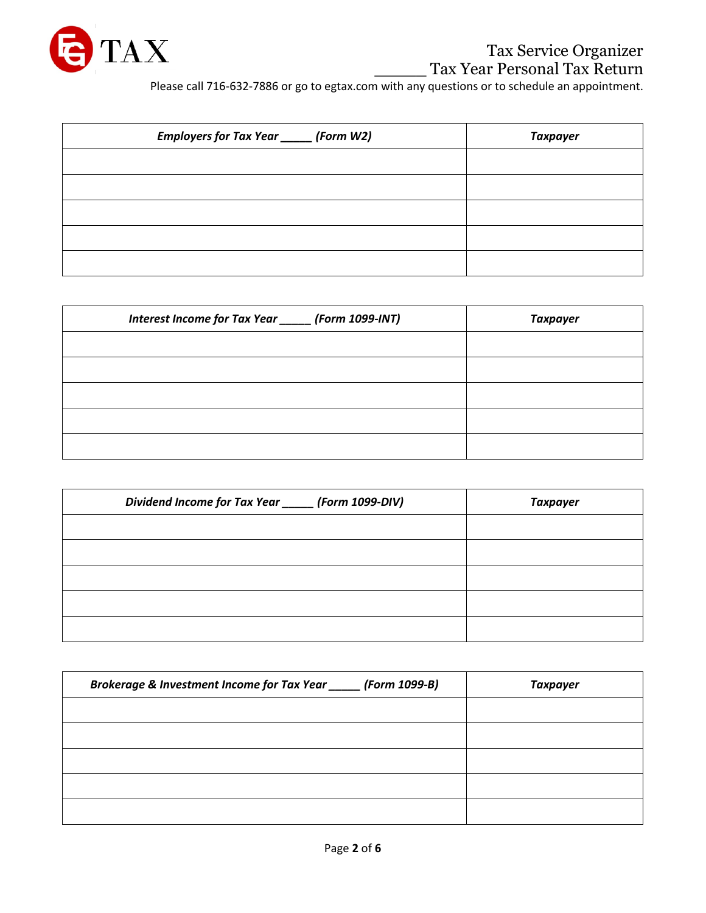

## Tax Service Organizer \_\_\_\_\_ Tax Year Personal Tax Return

Please call 716-632-7886 or go to egtax.com with any questions or to schedule an appointment.

| Employers for Tax Year ______ (Form W2) | <b>Taxpayer</b> |
|-----------------------------------------|-----------------|
|                                         |                 |
|                                         |                 |
|                                         |                 |
|                                         |                 |
|                                         |                 |

| Interest Income for Tax Year ______ (Form 1099-INT) | <b>Taxpayer</b> |
|-----------------------------------------------------|-----------------|
|                                                     |                 |
|                                                     |                 |
|                                                     |                 |
|                                                     |                 |
|                                                     |                 |

| Dividend Income for Tax Year _____ (Form 1099-DIV) | <b>Taxpayer</b> |
|----------------------------------------------------|-----------------|
|                                                    |                 |
|                                                    |                 |
|                                                    |                 |
|                                                    |                 |
|                                                    |                 |

| Brokerage & Investment Income for Tax Year _____ (Form 1099-B) | <b>Taxpayer</b> |
|----------------------------------------------------------------|-----------------|
|                                                                |                 |
|                                                                |                 |
|                                                                |                 |
|                                                                |                 |
|                                                                |                 |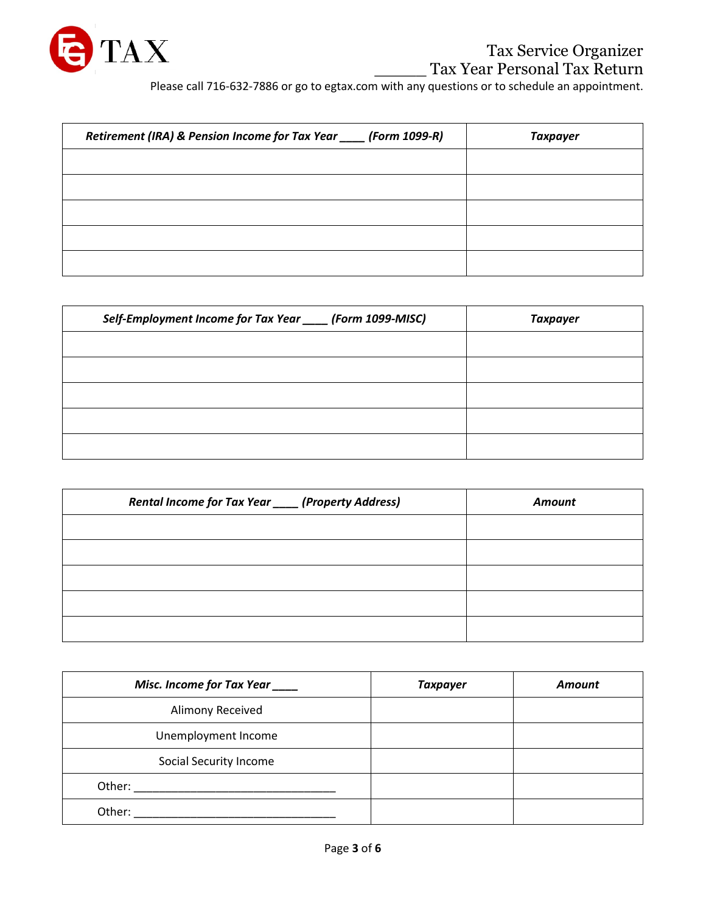

Please call 716-632-7886 or go to egtax.com with any questions or to schedule an appointment.

| Retirement (IRA) & Pension Income for Tax Year ____ (Form 1099-R) | Taxpayer |
|-------------------------------------------------------------------|----------|
|                                                                   |          |
|                                                                   |          |
|                                                                   |          |
|                                                                   |          |
|                                                                   |          |

| Self-Employment Income for Tax Year ____ (Form 1099-MISC) | <b>Taxpayer</b> |
|-----------------------------------------------------------|-----------------|
|                                                           |                 |
|                                                           |                 |
|                                                           |                 |
|                                                           |                 |
|                                                           |                 |

| Rental Income for Tax Year _____ (Property Address) | <b>Amount</b> |
|-----------------------------------------------------|---------------|
|                                                     |               |
|                                                     |               |
|                                                     |               |
|                                                     |               |
|                                                     |               |

| Misc. Income for Tax Year | <b>Taxpayer</b> | <b>Amount</b> |
|---------------------------|-----------------|---------------|
| Alimony Received          |                 |               |
| Unemployment Income       |                 |               |
| Social Security Income    |                 |               |
| Other:                    |                 |               |
| Other:                    |                 |               |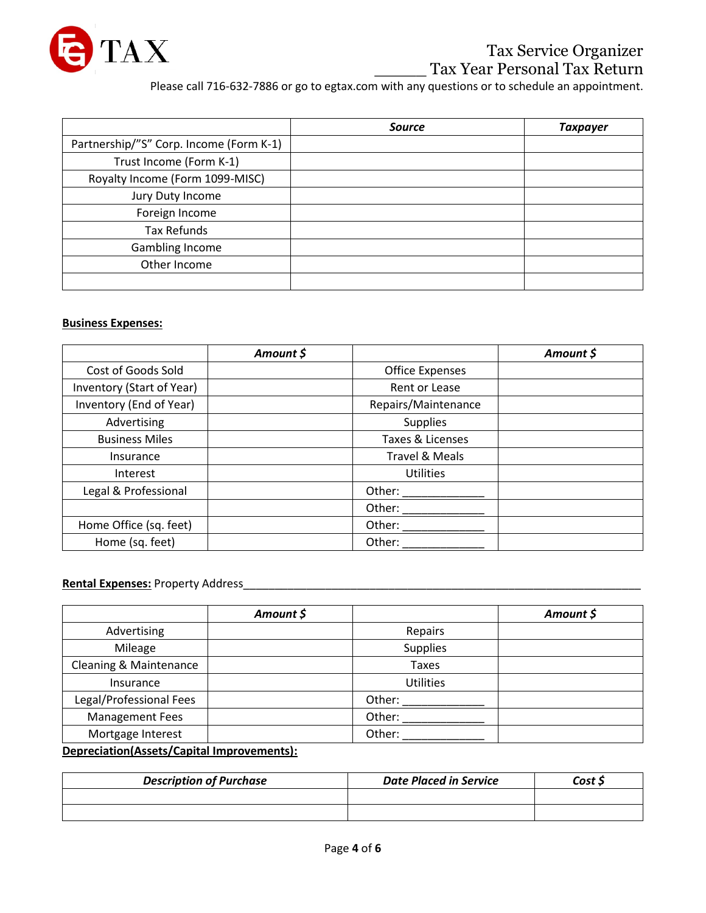

# Tax Service Organizer **Tax Year Personal Tax Return**

Please call 716-632-7886 or go to egtax.com with any questions or to schedule an appointment.

|                                         | <b>Source</b> | Taxpayer |
|-----------------------------------------|---------------|----------|
| Partnership/"S" Corp. Income (Form K-1) |               |          |
| Trust Income (Form K-1)                 |               |          |
| Royalty Income (Form 1099-MISC)         |               |          |
| Jury Duty Income                        |               |          |
| Foreign Income                          |               |          |
| <b>Tax Refunds</b>                      |               |          |
| <b>Gambling Income</b>                  |               |          |
| Other Income                            |               |          |
|                                         |               |          |

#### **Business Expenses:**

|                           | Amount \$ |                           | Amount \$ |
|---------------------------|-----------|---------------------------|-----------|
| Cost of Goods Sold        |           | <b>Office Expenses</b>    |           |
| Inventory (Start of Year) |           | Rent or Lease             |           |
| Inventory (End of Year)   |           | Repairs/Maintenance       |           |
| Advertising               |           | <b>Supplies</b>           |           |
| <b>Business Miles</b>     |           | Taxes & Licenses          |           |
| Insurance                 |           | <b>Travel &amp; Meals</b> |           |
| Interest                  |           | <b>Utilities</b>          |           |
| Legal & Professional      |           | Other:                    |           |
|                           |           | Other:                    |           |
| Home Office (sq. feet)    |           | Other:                    |           |
| Home (sq. feet)           |           | Other:                    |           |

#### **Rental Expenses:** Property Address\_\_\_\_\_\_\_\_\_\_\_\_\_\_\_\_\_\_\_\_\_\_\_\_\_\_\_\_\_\_\_\_\_\_\_\_\_\_\_\_\_\_\_\_\_\_\_\_\_\_\_\_\_\_\_\_\_\_\_\_\_\_\_

|                         | Amount \$ |                  | Amount \$ |
|-------------------------|-----------|------------------|-----------|
| Advertising             |           | Repairs          |           |
| Mileage                 |           | <b>Supplies</b>  |           |
| Cleaning & Maintenance  |           | Taxes            |           |
| Insurance               |           | <b>Utilities</b> |           |
| Legal/Professional Fees |           | Other:           |           |
| <b>Management Fees</b>  |           | Other:           |           |
| Mortgage Interest       |           | Other:           |           |

**Depreciation(Assets/Capital Improvements):**

| <b>Description of Purchase</b> | <b>Date Placed in Service</b> | Cost S |
|--------------------------------|-------------------------------|--------|
|                                |                               |        |
|                                |                               |        |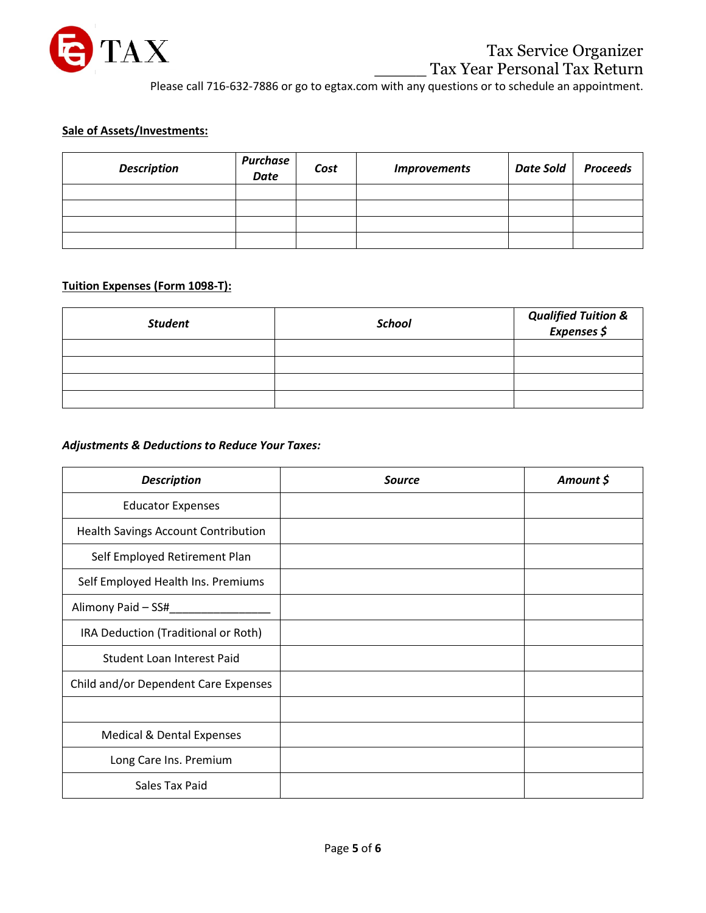

Please call 716-632-7886 or go to egtax.com with any questions or to schedule an appointment.

## **Sale of Assets/Investments:**

| <b>Description</b> | Purchase<br><b>Date</b> | Cost | <b>Improvements</b> | <b>Date Sold</b> | <b>Proceeds</b> |
|--------------------|-------------------------|------|---------------------|------------------|-----------------|
|                    |                         |      |                     |                  |                 |
|                    |                         |      |                     |                  |                 |
|                    |                         |      |                     |                  |                 |
|                    |                         |      |                     |                  |                 |

### **Tuition Expenses (Form 1098-T):**

| <b>Student</b> | School | Qualified Tuition &<br>Expenses \$ |
|----------------|--------|------------------------------------|
|                |        |                                    |
|                |        |                                    |
|                |        |                                    |
|                |        |                                    |

## *Adjustments & Deductions to Reduce Your Taxes:*

| <b>Description</b>                         | <b>Source</b> | Amount \$ |
|--------------------------------------------|---------------|-----------|
| <b>Educator Expenses</b>                   |               |           |
| <b>Health Savings Account Contribution</b> |               |           |
| Self Employed Retirement Plan              |               |           |
| Self Employed Health Ins. Premiums         |               |           |
| Alimony Paid - SS#                         |               |           |
| IRA Deduction (Traditional or Roth)        |               |           |
| Student Loan Interest Paid                 |               |           |
| Child and/or Dependent Care Expenses       |               |           |
|                                            |               |           |
| <b>Medical &amp; Dental Expenses</b>       |               |           |
| Long Care Ins. Premium                     |               |           |
| Sales Tax Paid                             |               |           |